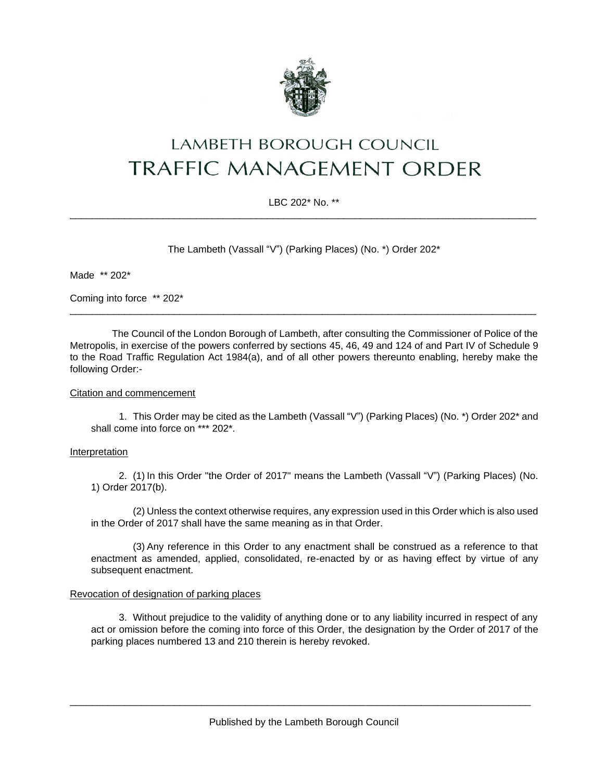

# **LAMBETH BOROUGH COUNCIL TRAFFIC MANAGEMENT ORDER**

## LBC 202\* No. \*\* \_\_\_\_\_\_\_\_\_\_\_\_\_\_\_\_\_\_\_\_\_\_\_\_\_\_\_\_\_\_\_\_\_\_\_\_\_\_\_\_\_\_\_\_\_\_\_\_\_\_\_\_\_\_\_\_\_\_\_\_\_\_\_\_\_\_\_\_\_\_\_\_\_\_\_\_\_\_\_\_\_\_\_\_\_

The Lambeth (Vassall "V") (Parking Places) (No. \*) Order 202\*

Made \*\* 202\*

Coming into force \*\* 202\*

The Council of the London Borough of Lambeth, after consulting the Commissioner of Police of the Metropolis, in exercise of the powers conferred by sections 45, 46, 49 and 124 of and Part IV of Schedule 9 to the Road Traffic Regulation Act 1984(a), and of all other powers thereunto enabling, hereby make the following Order:-

\_\_\_\_\_\_\_\_\_\_\_\_\_\_\_\_\_\_\_\_\_\_\_\_\_\_\_\_\_\_\_\_\_\_\_\_\_\_\_\_\_\_\_\_\_\_\_\_\_\_\_\_\_\_\_\_\_\_\_\_\_\_\_\_\_\_\_\_\_\_\_\_\_\_\_\_\_\_\_\_\_\_\_\_\_

#### Citation and commencement

1. This Order may be cited as the Lambeth (Vassall "V") (Parking Places) (No. \*) Order 202\* and shall come into force on \*\*\* 202\*.

#### Interpretation

2. (1) In this Order "the Order of 2017" means the Lambeth (Vassall "V") (Parking Places) (No. 1) Order 2017(b).

(2) Unless the context otherwise requires, any expression used in this Order which is also used in the Order of 2017 shall have the same meaning as in that Order.

(3) Any reference in this Order to any enactment shall be construed as a reference to that enactment as amended, applied, consolidated, re-enacted by or as having effect by virtue of any subsequent enactment.

#### Revocation of designation of parking places

3. Without prejudice to the validity of anything done or to any liability incurred in respect of any act or omission before the coming into force of this Order, the designation by the Order of 2017 of the parking places numbered 13 and 210 therein is hereby revoked.

\_\_\_\_\_\_\_\_\_\_\_\_\_\_\_\_\_\_\_\_\_\_\_\_\_\_\_\_\_\_\_\_\_\_\_\_\_\_\_\_\_\_\_\_\_\_\_\_\_\_\_\_\_\_\_\_\_\_\_\_\_\_\_\_\_\_\_\_\_\_\_\_\_\_\_\_\_\_\_\_\_\_\_\_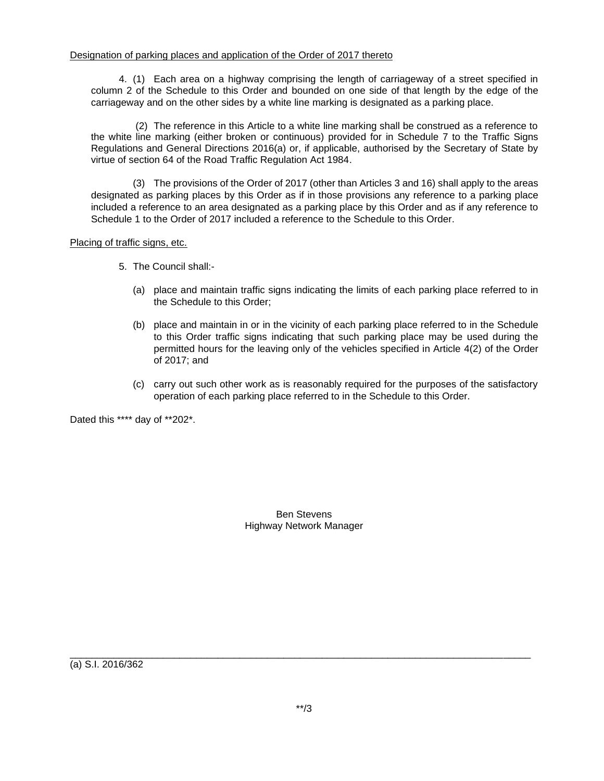4. (1) Each area on a highway comprising the length of carriageway of a street specified in column 2 of the Schedule to this Order and bounded on one side of that length by the edge of the carriageway and on the other sides by a white line marking is designated as a parking place.

(2) The reference in this Article to a white line marking shall be construed as a reference to the white line marking (either broken or continuous) provided for in Schedule 7 to the Traffic Signs Regulations and General Directions 2016(a) or, if applicable, authorised by the Secretary of State by virtue of section 64 of the Road Traffic Regulation Act 1984.

(3) The provisions of the Order of 2017 (other than Articles 3 and 16) shall apply to the areas designated as parking places by this Order as if in those provisions any reference to a parking place included a reference to an area designated as a parking place by this Order and as if any reference to Schedule 1 to the Order of 2017 included a reference to the Schedule to this Order.

### Placing of traffic signs, etc.

- 5. The Council shall:-
	- (a) place and maintain traffic signs indicating the limits of each parking place referred to in the Schedule to this Order;
	- (b) place and maintain in or in the vicinity of each parking place referred to in the Schedule to this Order traffic signs indicating that such parking place may be used during the permitted hours for the leaving only of the vehicles specified in Article 4(2) of the Order of 2017; and
	- (c) carry out such other work as is reasonably required for the purposes of the satisfactory operation of each parking place referred to in the Schedule to this Order.

Dated this \*\*\*\* day of \*\*202\*.

Ben Stevens Highway Network Manager

(a) S.I. 2016/362

\_\_\_\_\_\_\_\_\_\_\_\_\_\_\_\_\_\_\_\_\_\_\_\_\_\_\_\_\_\_\_\_\_\_\_\_\_\_\_\_\_\_\_\_\_\_\_\_\_\_\_\_\_\_\_\_\_\_\_\_\_\_\_\_\_\_\_\_\_\_\_\_\_\_\_\_\_\_\_\_\_\_\_\_